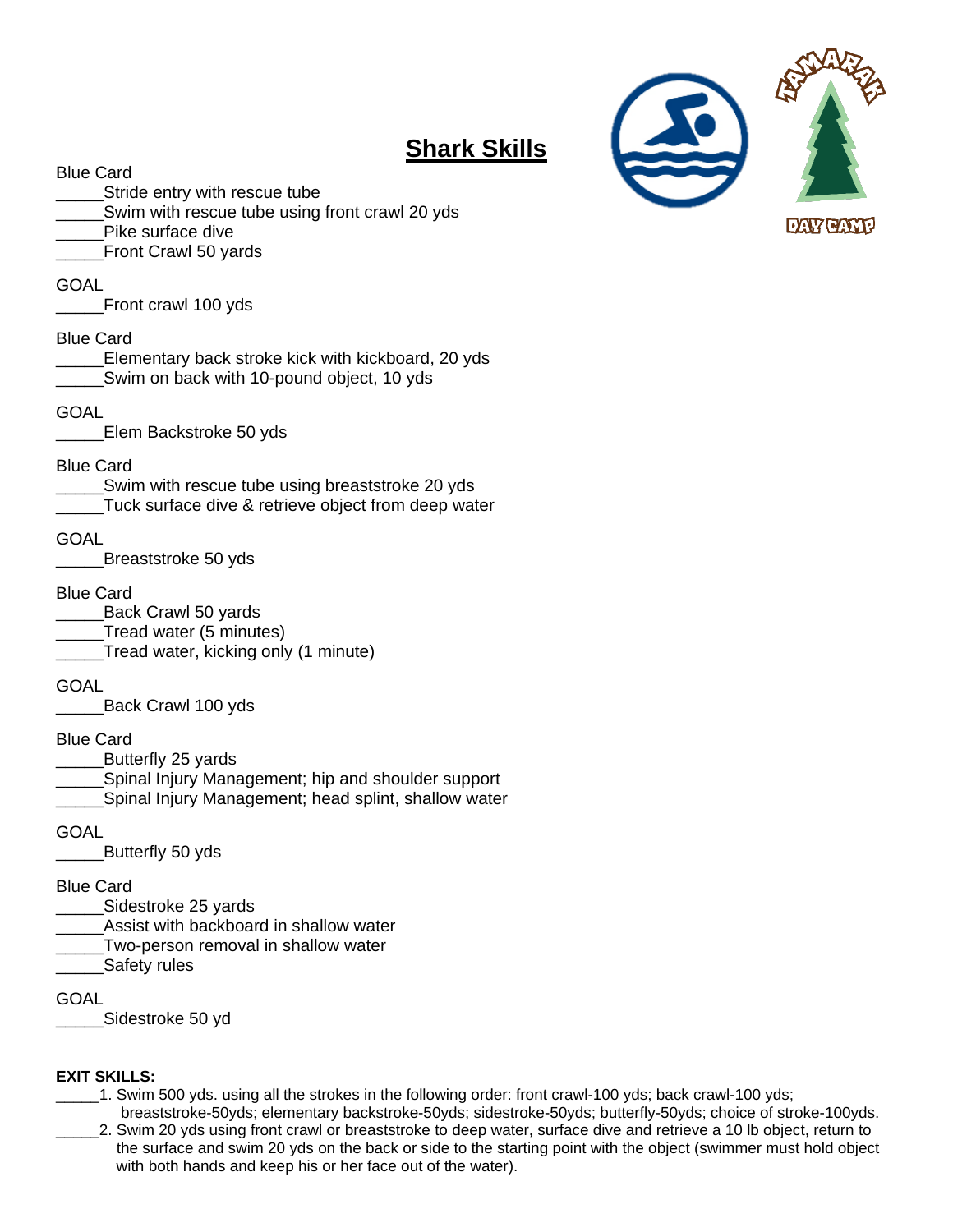

# **Shark Skills**

Blue Card

- Stride entry with rescue tube
- \_\_\_\_\_Swim with rescue tube using front crawl 20 yds
- Pike surface dive
- Front Crawl 50 yards

#### **GOAL**

\_\_\_\_\_Front crawl 100 yds

#### Blue Card

- \_\_\_\_\_Elementary back stroke kick with kickboard, 20 yds Swim on back with 10-pound object, 10 yds
- GOAL
- \_\_\_\_\_Elem Backstroke 50 yds

#### Blue Card

\_\_\_\_\_Swim with rescue tube using breaststroke 20 yds \_\_\_\_\_Tuck surface dive & retrieve object from deep water

#### GOAL

\_\_\_\_\_Breaststroke 50 yds

#### Blue Card

- \_\_\_\_\_Back Crawl 50 yards
- \_\_\_\_\_Tread water (5 minutes)
- Tread water, kicking only (1 minute)

#### **GOAL**

\_\_\_\_\_Back Crawl 100 yds

#### Blue Card

- \_\_\_\_\_Butterfly 25 yards
- Spinal Injury Management; hip and shoulder support
- \_\_\_\_\_Spinal Injury Management; head splint, shallow water

GOAL

\_\_\_\_\_Butterfly 50 yds

#### Blue Card

- \_\_\_\_\_Sidestroke 25 yards
- Assist with backboard in shallow water
- Two-person removal in shallow water
- Safety rules

GOAL

\_\_\_\_\_Sidestroke 50 yd

#### **EXIT SKILLS:**

- \_\_\_\_\_1. Swim 500 yds. using all the strokes in the following order: front crawl-100 yds; back crawl-100 yds;
- breaststroke-50yds; elementary backstroke-50yds; sidestroke-50yds; butterfly-50yds; choice of stroke-100yds. \_\_\_\_\_2. Swim 20 yds using front crawl or breaststroke to deep water, surface dive and retrieve a 10 lb object, return to the surface and swim 20 yds on the back or side to the starting point with the object (swimmer must hold object with both hands and keep his or her face out of the water).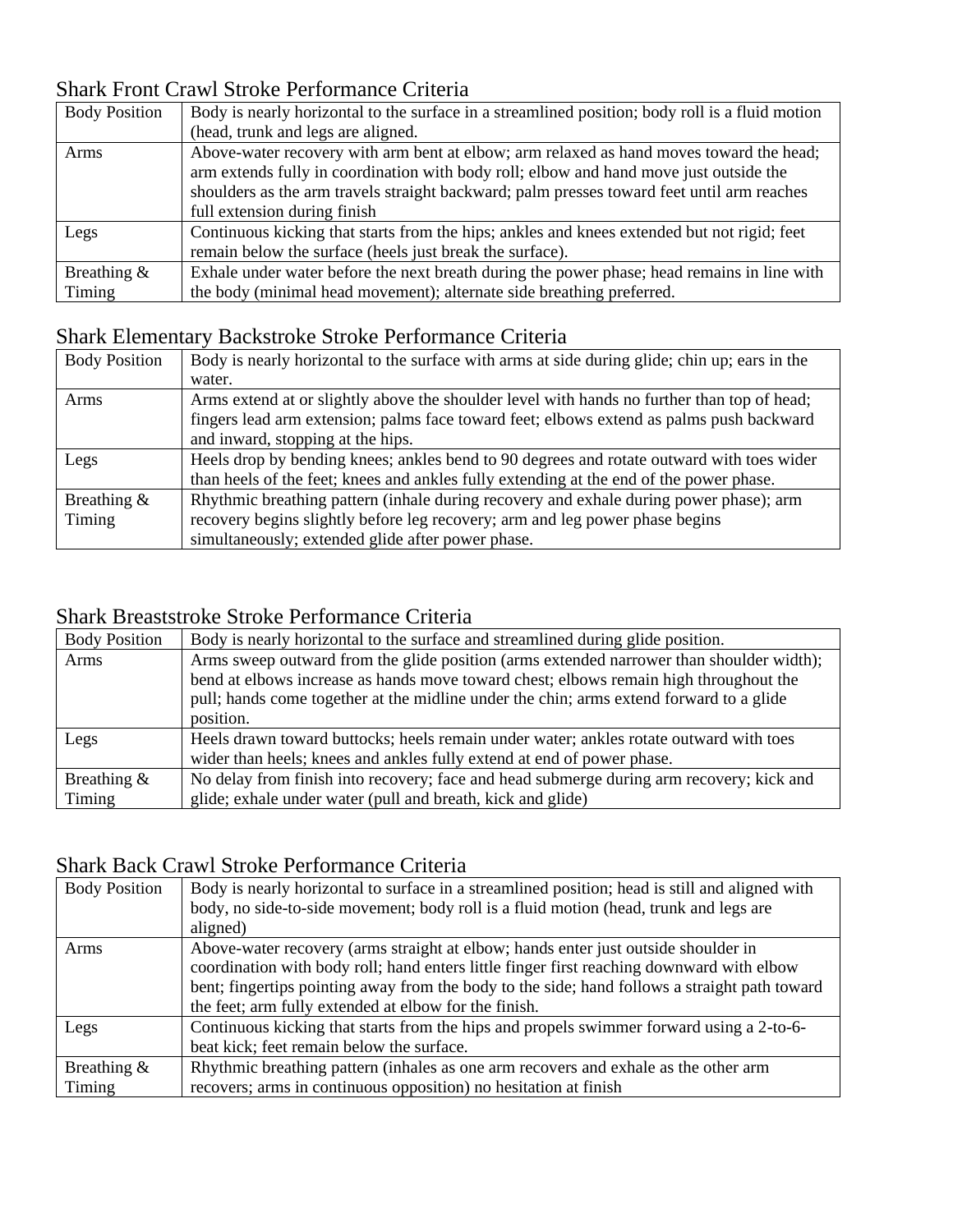### Shark Front Crawl Stroke Performance Criteria

| <b>Body Position</b> | Body is nearly horizontal to the surface in a streamlined position; body roll is a fluid motion |
|----------------------|-------------------------------------------------------------------------------------------------|
|                      | (head, trunk and legs are aligned.                                                              |
| Arms                 | Above-water recovery with arm bent at elbow; arm relaxed as hand moves toward the head;         |
|                      | arm extends fully in coordination with body roll; elbow and hand move just outside the          |
|                      | shoulders as the arm travels straight backward; palm presses toward feet until arm reaches      |
|                      | full extension during finish                                                                    |
| Legs                 | Continuous kicking that starts from the hips; ankles and knees extended but not rigid; feet     |
|                      | remain below the surface (heels just break the surface).                                        |
| Breathing $\&$       | Exhale under water before the next breath during the power phase; head remains in line with     |
| Timing               | the body (minimal head movement); alternate side breathing preferred.                           |

# Shark Elementary Backstroke Stroke Performance Criteria

| <b>Body Position</b> | Body is nearly horizontal to the surface with arms at side during glide; chin up; ears in the |
|----------------------|-----------------------------------------------------------------------------------------------|
|                      | water.                                                                                        |
| Arms                 | Arms extend at or slightly above the shoulder level with hands no further than top of head;   |
|                      | fingers lead arm extension; palms face toward feet; elbows extend as palms push backward      |
|                      | and inward, stopping at the hips.                                                             |
| Legs                 | Heels drop by bending knees; ankles bend to 90 degrees and rotate outward with toes wider     |
|                      | than heels of the feet; knees and ankles fully extending at the end of the power phase.       |
| Breathing $\&$       | Rhythmic breathing pattern (inhale during recovery and exhale during power phase); arm        |
| Timing               | recovery begins slightly before leg recovery; arm and leg power phase begins                  |
|                      | simultaneously; extended glide after power phase.                                             |

### Shark Breaststroke Stroke Performance Criteria

| <b>Body Position</b> | Body is nearly horizontal to the surface and streamlined during glide position.          |
|----------------------|------------------------------------------------------------------------------------------|
| Arms                 | Arms sweep outward from the glide position (arms extended narrower than shoulder width); |
|                      | bend at elbows increase as hands move toward chest; elbows remain high throughout the    |
|                      | pull; hands come together at the midline under the chin; arms extend forward to a glide  |
|                      | position.                                                                                |
| Legs                 | Heels drawn toward buttocks; heels remain under water; ankles rotate outward with toes   |
|                      | wider than heels; knees and ankles fully extend at end of power phase.                   |
| Breathing $\&$       | No delay from finish into recovery; face and head submerge during arm recovery; kick and |
| Timing               | glide; exhale under water (pull and breath, kick and glide)                              |

### Shark Back Crawl Stroke Performance Criteria

| <b>Body Position</b>     | Body is nearly horizontal to surface in a streamlined position; head is still and aligned with<br>body, no side-to-side movement; body roll is a fluid motion (head, trunk and legs are<br>aligned)                                                                                                                                       |
|--------------------------|-------------------------------------------------------------------------------------------------------------------------------------------------------------------------------------------------------------------------------------------------------------------------------------------------------------------------------------------|
| Arms                     | Above-water recovery (arms straight at elbow; hands enter just outside shoulder in<br>coordination with body roll; hand enters little finger first reaching downward with elbow<br>bent; fingertips pointing away from the body to the side; hand follows a straight path toward<br>the feet; arm fully extended at elbow for the finish. |
| Legs                     | Continuous kicking that starts from the hips and propels swimmer forward using a 2-to-6-<br>beat kick; feet remain below the surface.                                                                                                                                                                                                     |
| Breathing $\&$<br>Timing | Rhythmic breathing pattern (inhales as one arm recovers and exhale as the other arm<br>recovers; arms in continuous opposition) no hesitation at finish                                                                                                                                                                                   |